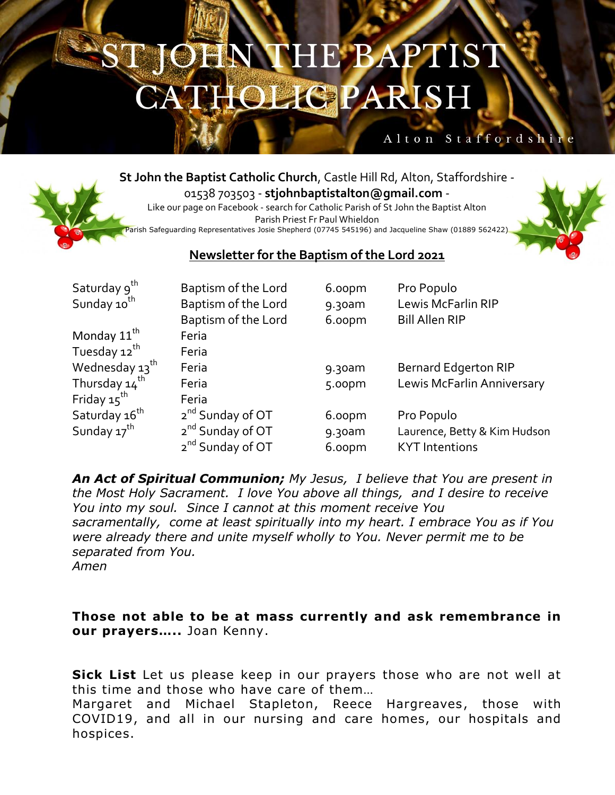## OHN THE BAPTIST **HOLIGPARISH**

## Alton Staffordshi

**St John the Baptist Catholic Church**, Castle Hill Rd, Alton, Staffordshire -

01538 703503 - **stjohnbaptistalton@gmail.com** - Like our page on Facebook - search for Catholic Parish of St John the Baptist Alton

Parish Priest Fr Paul Whieldon

<sup>5</sup>arish Safeguarding Representatives Josie Shepherd (07745 545196) and Jacqueline Shaw (01889 562422)



## **Newsletter for the Baptism of the Lord 2021**

| Saturday 9 <sup>th</sup>  | Baptism of the Lord          | 6.00pm    | Pro Populo                   |
|---------------------------|------------------------------|-----------|------------------------------|
| Sunday 10 <sup>th</sup>   | Baptism of the Lord          | 9.30am    | Lewis McFarlin RIP           |
|                           | Baptism of the Lord          | 6.00pm    | <b>Bill Allen RIP</b>        |
| Monday 11 <sup>th</sup>   | Feria                        |           |                              |
| Tuesday 12 <sup>th</sup>  | Feria                        |           |                              |
| Wednesday $13^{th}$       | Feria                        | 9.30am    | <b>Bernard Edgerton RIP</b>  |
| Thursday 14 <sup>th</sup> | Feria                        | 5.00pm    | Lewis McFarlin Anniversary   |
| Friday $15^{\text{th}}$   | Feria                        |           |                              |
| Saturday 16 <sup>th</sup> | 2 <sup>nd</sup> Sunday of OT | 6.00pm    | Pro Populo                   |
| Sunday 17 <sup>th</sup>   | 2 <sup>nd</sup> Sunday of OT | $9.30$ am | Laurence, Betty & Kim Hudson |
|                           | 2 <sup>nd</sup> Sunday of OT | 6.00pm    | <b>KYT</b> Intentions        |

*An Act of Spiritual Communion; My Jesus, I believe that You are present in the Most Holy Sacrament. I love You above all things, and I desire to receive You into my soul. Since I cannot at this moment receive You sacramentally, come at least spiritually into my heart. I embrace You as if You were already there and unite myself wholly to You. Never permit me to be separated from You. Amen*

**Those not able to be at mass currently and ask remembrance in our prayers…..** Joan Kenny.

**Sick List** Let us please keep in our prayers those who are not well at this time and those who have care of them…

Margaret and Michael Stapleton, Reece Hargreaves, those with COVID19, and all in our nursing and care homes, our hospitals and hospices.